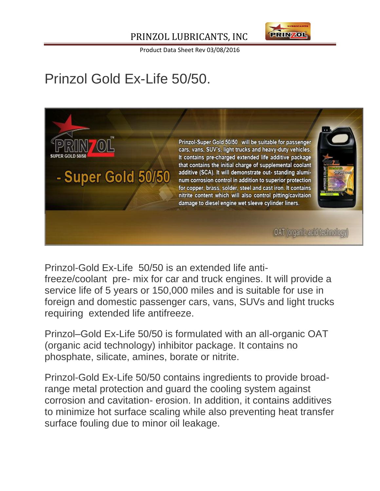### PRINZOL LUBRICANTS, INC



Product Data Sheet Rev 03/08/2016

# Prinzol Gold Ex-Life 50/50.



Prinzol-Gold Ex-Life 50/50 is an extended life antifreeze/coolant pre- mix for car and truck engines. It will provide a service life of 5 years or 150,000 miles and is suitable for use in foreign and domestic passenger cars, vans, SUVs and light trucks requiring extended life antifreeze.

Prinzol–Gold Ex-Life 50/50 is formulated with an all-organic OAT (organic acid technology) inhibitor package. It contains no phosphate, silicate, amines, borate or nitrite.

Prinzol-Gold Ex-Life 50/50 contains ingredients to provide broadrange metal protection and guard the cooling system against corrosion and cavitation- erosion. In addition, it contains additives to minimize hot surface scaling while also preventing heat transfer surface fouling due to minor oil leakage.